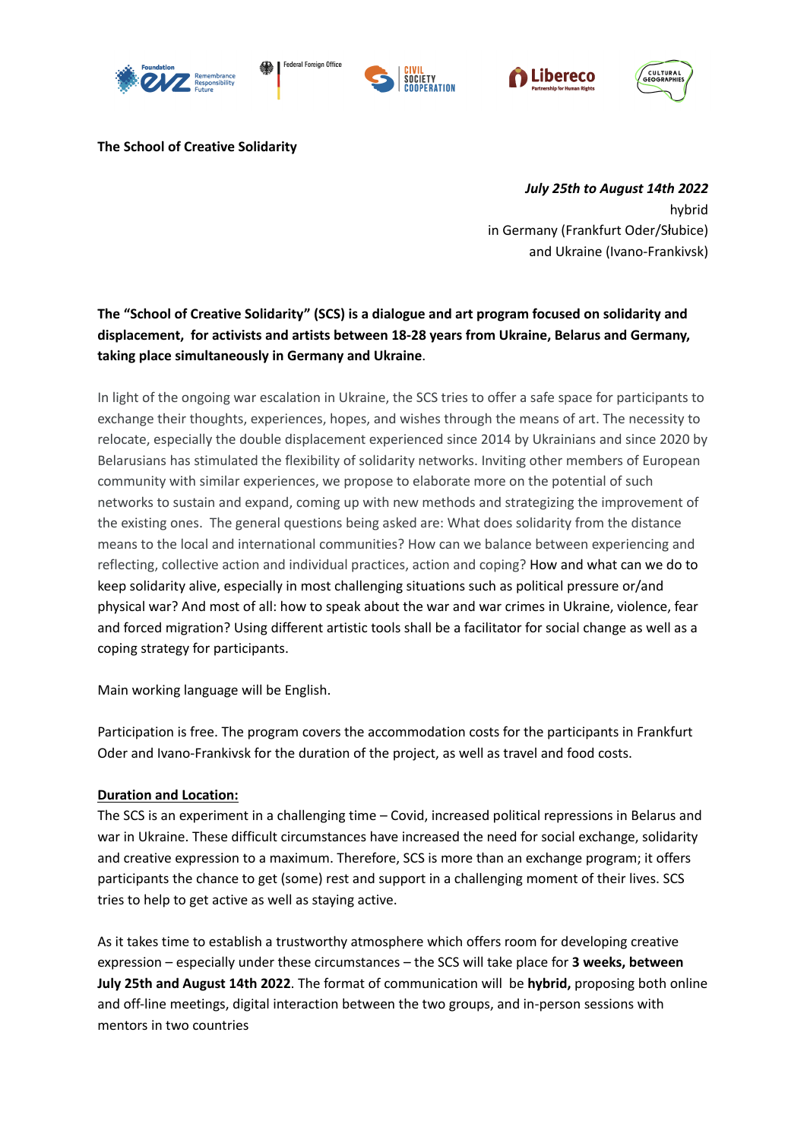









**The School of Creative Solidarity**

*July 25th to August 14th 2022* hybrid in Germany (Frankfurt Oder/Słubice) and Ukraine (Ivano-Frankivsk)

## **The "School of Creative Solidarity" (SCS) is a dialogue and art program focused on solidarity and displacement, for activists and artists between 18-28 years from Ukraine, Belarus and Germany, taking place simultaneously in Germany and Ukraine**.

In light of the ongoing war escalation in Ukraine, the SCS tries to offer a safe space for participants to exchange their thoughts, experiences, hopes, and wishes through the means of art. The necessity to relocate, especially the double displacement experienced since 2014 by Ukrainians and since 2020 by Belarusians has stimulated the flexibility of solidarity networks. Inviting other members of European community with similar experiences, we propose to elaborate more on the potential of such networks to sustain and expand, coming up with new methods and strategizing the improvement of the existing ones. The general questions being asked are: What does solidarity from the distance means to the local and international communities? How can we balance between experiencing and reflecting, collective action and individual practices, action and coping? How and what can we do to keep solidarity alive, especially in most challenging situations such as political pressure or/and physical war? And most of all: how to speak about the war and war crimes in Ukraine, violence, fear and forced migration? Using different artistic tools shall be a facilitator for social change as well as a coping strategy for participants.

Main working language will be English.

Participation is free. The program covers the accommodation costs for the participants in Frankfurt Oder and Ivano-Frankivsk for the duration of the project, as well as travel and food costs.

## **Duration and Location:**

The SCS is an experiment in a challenging time – Covid, increased political repressions in Belarus and war in Ukraine. These difficult circumstances have increased the need for social exchange, solidarity and creative expression to a maximum. Therefore, SCS is more than an exchange program; it offers participants the chance to get (some) rest and support in a challenging moment of their lives. SCS tries to help to get active as well as staying active.

As it takes time to establish a trustworthy atmosphere which offers room for developing creative expression – especially under these circumstances – the SCS will take place for **3 weeks, between July 25th and August 14th 2022**. The format of communication will be **hybrid,** proposing both online and off-line meetings, digital interaction between the two groups, and in-person sessions with mentors in two countries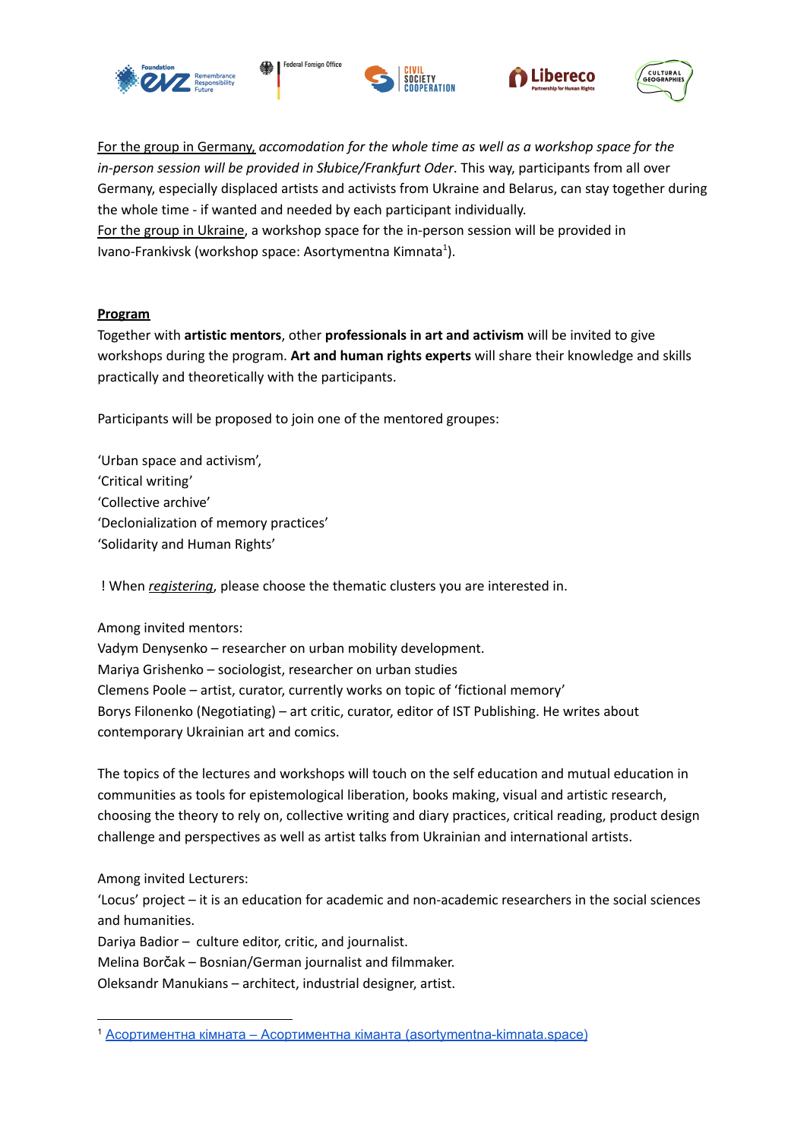







For the group in Germany, *accomodation for the whole time as well as a workshop space for the in-person session will be provided in Słubice/Frankfurt Oder*. This way, participants from all over Germany, especially displaced artists and activists from Ukraine and Belarus, can stay together during the whole time - if wanted and needed by each participant individually. For the group in Ukraine, a workshop space for the in-person session will be provided in Ivano-Frankivsk (workshop space: Asortymentna Kimnata<sup>1</sup>).

## **Program**

Together with **artistic mentors**, other **professionals in art and activism** will be invited to give workshops during the program. **Art and human rights experts** will share their knowledge and skills practically and theoretically with the participants.

Participants will be proposed to join one of the mentored groupes:

'Urban space and activism', 'Critical writing' 'Collective archive' 'Declonialization of memory practices' 'Solidarity and Human Rights'

! When *registering*, please choose the thematic clusters you are interested in.

Among invited mentors:

Vadym Denysenko – researcher on urban mobility development. Mariya Grishenko – sociologist, researcher on urban studies Clemens Poole – artist, curator, currently works on topic of 'fictional memory' Borys Filonenko (Negotiating) – art critic, curator, editor of IST Publishing. He writes about contemporary Ukrainian art and comics.

The topics of the lectures and workshops will touch on the self education and mutual education in communities as tools for epistemological liberation, books making, visual and artistic research, choosing the theory to rely on, collective writing and diary practices, critical reading, product design challenge and perspectives as well as artist talks from Ukrainian and international artists.

Among invited Lecturers:

'Locus' project – it is an education for academic and non-academic researchers in the social sciences and humanities.

Dariya Badior – culture editor, critic, and journalist.

Melina Borčak – Bosnian/German journalist and filmmaker.

Oleksandr Manukians – architect, industrial designer, artist.

<sup>&</sup>lt;sup>1</sup> Асортиментна кімната – Асортиментна кіманта [\(asortymentna-kimnata.space\)](https://asortymentna-kimnata.space/)